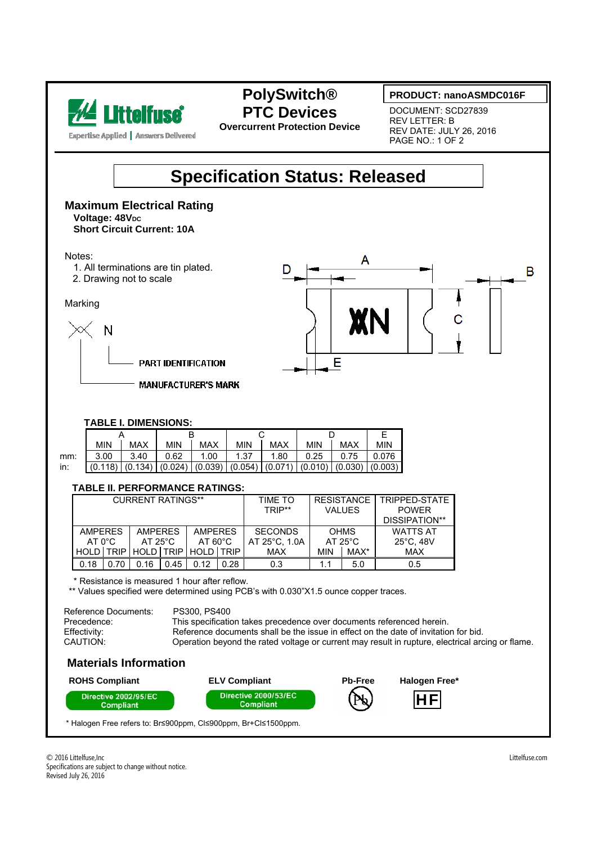

## **PolySwitch® PTC Devices**

**Overcurrent Protection Device** 

#### **PRODUCT: nanoASMDC016F**

DOCUMENT: SCD27839 REV LETTER: B REV DATE: JULY 26, 2016 PAGE NO.: 1 OF 2



#### **Maximum Electrical Rating Voltage: 48VDC Short Circuit Current: 10A**

Notes:

- 1. All terminations are tin plated.
- 2. Drawing not to scale

Marking



**MANUFACTURER'S MARK** 



#### **TABLE I. DIMENSIONS:**

|     | <b>MIN</b>                                                                                | <b>MAX</b> | <b>MIN</b> | <b>MAX</b> | <b>MIN</b> | MAX  | <b>MIN</b> | MAX  | MIN   |
|-----|-------------------------------------------------------------------------------------------|------------|------------|------------|------------|------|------------|------|-------|
| mm: | 3.00                                                                                      | 3.40       | 0.62       | 1.00       | 1.37       | 1.80 | 0.25       | 0.75 | 0.076 |
| in: | $(0.118)$ $(0.134)$ $(0.024)$ $(0.039)$ $(0.054)$ $(0.071)$ $(0.010)$ $(0.030)$ $(0.003)$ |            |            |            |            |      |            |      |       |

#### **TABLE II. PERFORMANCE RATINGS:**

| <b>CURRENT RATINGS**</b>         |             |                   |      |                   |             | TIME TO       | <b>RESISTANCE</b> |      | TRIPPED-STATE |  |
|----------------------------------|-------------|-------------------|------|-------------------|-------------|---------------|-------------------|------|---------------|--|
|                                  |             |                   |      |                   |             | TRIP**        | <b>VALUES</b>     |      | <b>POWER</b>  |  |
|                                  |             |                   |      |                   |             |               |                   |      | DISSIPATION** |  |
| <b>AMPERES</b><br><b>AMPERES</b> |             | <b>AMPERES</b>    |      | <b>SECONDS</b>    | <b>OHMS</b> |               | <b>WATTS AT</b>   |      |               |  |
| $AT 0^{\circ}C$                  |             | $AT 25^{\circ}$ C |      | $AT 60^{\circ}$ C |             | AT 25°C, 1.0A | $AT 25^{\circ}$ C |      | 25°C, 48V     |  |
| <b>HOLD</b>                      | <b>TRIP</b> | HOLD TRIP         |      | HOLD LTRIP        |             | MAX           | MIN               | MAX* | <b>MAX</b>    |  |
| 0.18                             | 0.70        | 0.16              | 0.45 | 0.12              | 0.28        | 0.3           |                   | 5.0  | 0.5           |  |

\* Resistance is measured 1 hour after reflow.

\*\* Values specified were determined using PCB's with 0.030"X1.5 ounce copper traces.

| Reference Documents: | PS300, PS400                                                                                     |
|----------------------|--------------------------------------------------------------------------------------------------|
| Precedence:          | This specification takes precedence over documents referenced herein.                            |
| Effectivity:         | Reference documents shall be the issue in effect on the date of invitation for bid.              |
| CAUTION:             | Operation beyond the rated voltage or current may result in rupture, electrical arcing or flame. |
|                      |                                                                                                  |

### **Materials Information**



\* Halogen Free refers to: Br≤900ppm, Cl≤900ppm, Br+Cl≤1500ppm.

l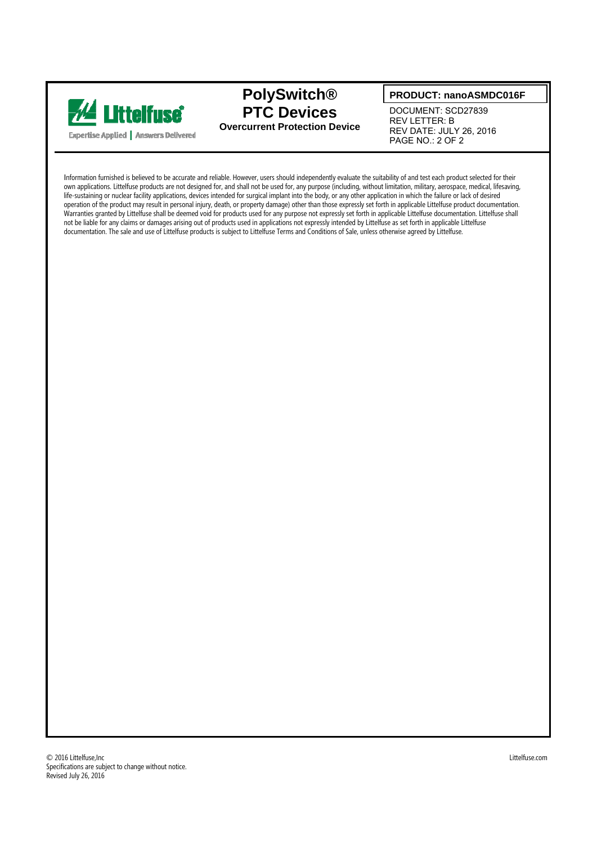

## **PolySwitch® PTC Devices Overcurrent Protection Device**

#### **PRODUCT: nanoASMDC016F**

DOCUMENT: SCD27839 REV LETTER: B REV DATE: JULY 26, 2016 PAGE NO.: 2 OF 2

Information furnished is believed to be accurate and reliable. However, users should independently evaluate the suitability of and test each product selected for their own applications. Littelfuse products are not designed for, and shall not be used for, any purpose (including, without limitation, military, aerospace, medical, lifesaving, life-sustaining or nuclear facility applications, devices intended for surgical implant into the body, or any other application in which the failure or lack of desired operation of the product may result in personal injury, death, or property damage) other than those expressly set forth in applicable Littelfuse product documentation. Warranties granted by Littelfuse shall be deemed void for products used for any purpose not expressly set forth in applicable Littelfuse documentation. Littelfuse shall not be liable for any claims or damages arising out of products used in applications not expressly intended by Littelfuse as set forth in applicable Littelfuse documentation. The sale and use of Littelfuse products is subject to Littelfuse Terms and Conditions of Sale, unless otherwise agreed by Littelfuse.